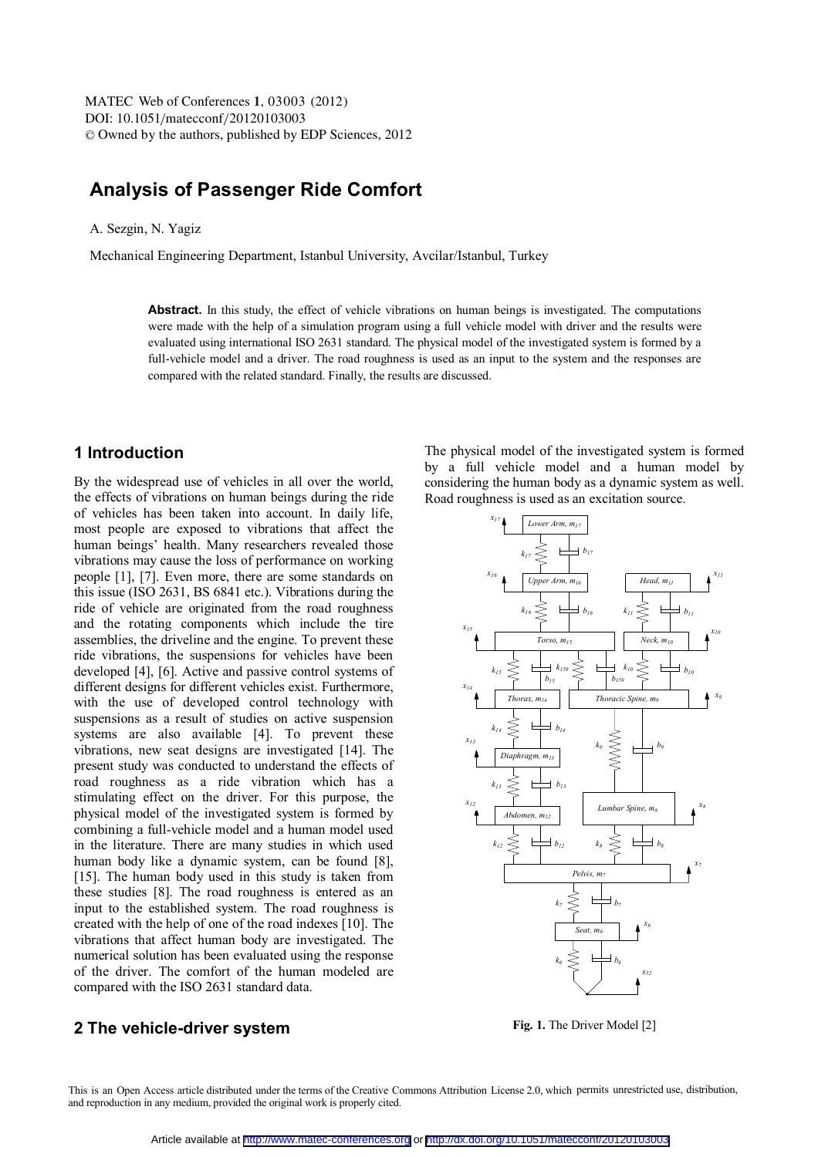MATEC Web of Conferences 1, 03003 (2012) DOI: 10.1051/matecconf/20120103003 <sup>C</sup> Owned by the authors, published by EDP Sciences, 2012

# **Analysis of Passenger Ride Comfort**

A. Sezgin, N. Yagiz

Mechanical Engineering Department, Istanbul University, Avcilar/Istanbul, Turkey

**Abstract.** In this study, the effect of vehicle vibrations on human beings is investigated. The computations were made with the help of a simulation program using a full vehicle model with driver and the results were evaluated using international ISO 2631 standard. The physical model of the investigated system is formed by a full-vehicle model and a driver. The road roughness is used as an input to the system and the responses are compared with the related standard. Finally, the results are discussed.

### **1 Introduction**

By the widespread use of vehicles in all over the world, the effects of vibrations on human beings during the ride of vehicles has been taken into account. In daily life, most people are exposed to vibrations that affect the human beings' health. Many researchers revealed those vibrations may cause the loss of performance on working people [1], [7]. Even more, there are some standards on this issue (ISO 2631, BS 6841 etc.). Vibrations during the ride of vehicle are originated from the road roughness and the rotating components which include the tire assemblies, the driveline and the engine. To prevent these ride vibrations, the suspensions for vehicles have been developed [4], [6]. Active and passive control systems of different designs for different vehicles exist. Furthermore, with the use of developed control technology with suspensions as a result of studies on active suspension systems are also available [4]. To prevent these vibrations, new seat designs are investigated [14]. The present study was conducted to understand the effects of road roughness as a ride vibration which has a stimulating effect on the driver. For this purpose, the physical model of the investigated system is formed by combining a full-vehicle model and a human model used in the literature. There are many studies in which used human body like a dynamic system, can be found [8], [15]. The human body used in this study is taken from these studies [8]. The road roughness is entered as an input to the established system. The road roughness is created with the help of one of the road indexes [10]. The vibrations that affect human body are investigated. The numerical solution has been evaluated using the response of the driver. The comfort of the human modeled are compared with the ISO 2631 standard data.

The physical model of the investigated system is formed by a full vehicle model and a human model by considering the human body as a dynamic system as well. Road roughness is used as an excitation source.



**Fig. 1.** The Driver Model [2]

### **2 The vehicle-driver system**

This is an Open Access article distributed under the terms of the Creative Commons Attribution License 2.0, which permits unrestricted use, distribution, and reproduction in any medium, provided the original work is properly cited.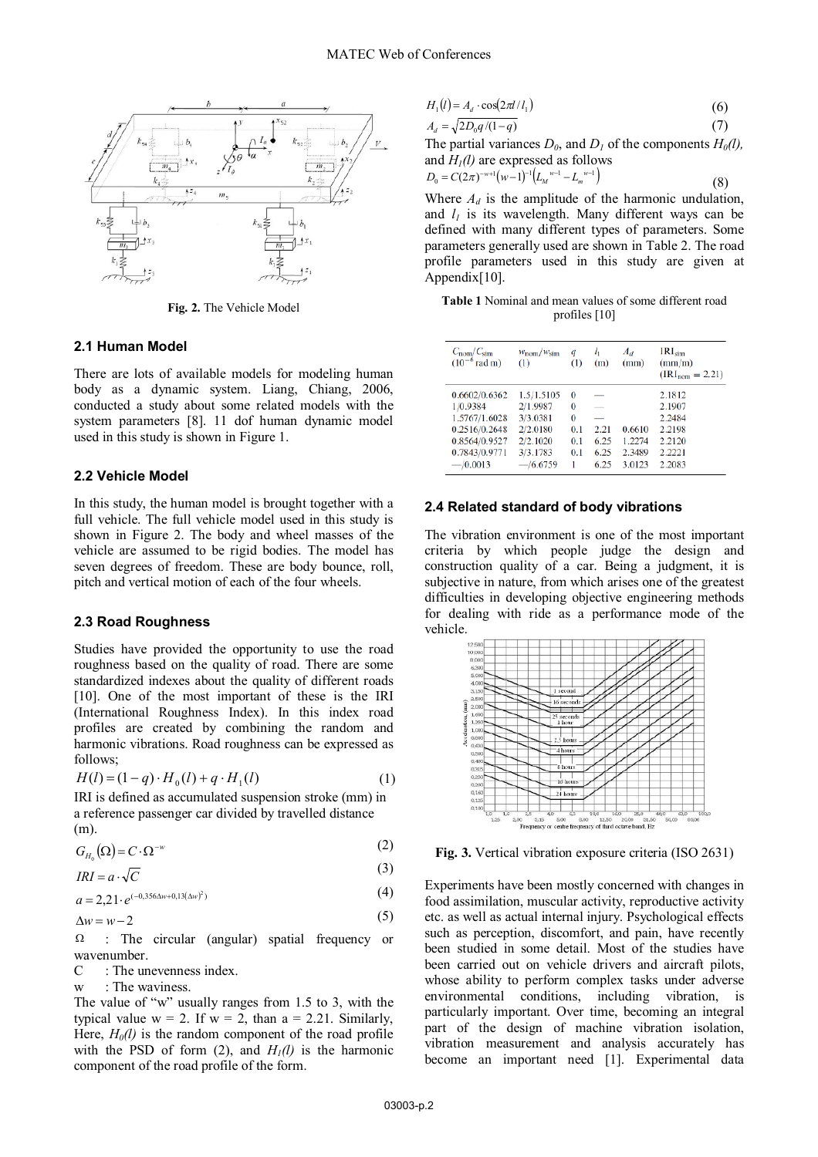

**Fig. 2.** The Vehicle Model

#### **2.1 Human Model**

There are lots of available models for modeling human body as a dynamic system. Liang, Chiang, 2006, conducted a study about some related models with the system parameters [8]. 11 dof human dynamic model used in this study is shown in Figure 1.

#### **2.2 Vehicle Model**

In this study, the human model is brought together with a full vehicle. The full vehicle model used in this study is shown in Figure 2. The body and wheel masses of the vehicle are assumed to be rigid bodies. The model has seven degrees of freedom. These are body bounce, roll, pitch and vertical motion of each of the four wheels.

#### **2.3 Road Roughness**

Studies have provided the opportunity to use the road roughness based on the quality of road. There are some standardized indexes about the quality of different roads [10]. One of the most important of these is the IRI (International Roughness Index). In this index road profiles are created by combining the random and harmonic vibrations. Road roughness can be expressed as follows;

$$
H(l) = (1 - q) \cdot H_0(l) + q \cdot H_1(l)
$$
 (1)

IRI is defined as accumulated suspension stroke (mm) in a reference passenger car divided by travelled distance (m).

$$
G_{H_0}(\Omega) = C \cdot \Omega^{-w} \tag{2}
$$

$$
IRI = a \cdot \sqrt{C} \tag{3}
$$

$$
a = 2,21 \cdot e^{(-0,356\Delta w + 0,13(\Delta w)^2)}
$$
 (4)

$$
\Delta w = w - 2 \tag{5}
$$

 $\Omega$  : The circular (angular) spatial frequency or wavenumber.

- C : The unevenness index.
- $w \cdot$  The waviness.

0

The value of "w" usually ranges from 1.5 to 3, with the typical value  $w = 2$ . If  $w = 2$ , than  $a = 2.21$ . Similarly, Here,  $H_0(l)$  is the random component of the road profile with the PSD of form (2), and  $H_1(l)$  is the harmonic component of the road profile of the form.

$$
H_1(l) = A_d \cdot \cos(2\pi l / l_1) \tag{6}
$$

$$
A_d = \sqrt{2D_0 q/(1-q)}\tag{7}
$$

The partial variances  $D_0$ , and  $D_1$  of the components  $H_0(l)$ , and  $H<sub>1</sub>(l)$  are expressed as follows

(8)

$$
D_0 = C(2\pi)^{-w+1}(w-1)^{-1}\left(L_M^{w-1} - L_m^{w-1}\right)
$$

Where  $A_d$  is the amplitude of the harmonic undulation, and  $l_1$  is its wavelength. Many different ways can be defined with many different types of parameters. Some parameters generally used are shown in Table 2. The road profile parameters used in this study are given at Appendix[10].

| <b>Table 1</b> Nominal and mean values of some different road |                 |  |  |
|---------------------------------------------------------------|-----------------|--|--|
|                                                               | profiles $[10]$ |  |  |

| $C_{\text{nom}}/C_{\text{sim}}$<br>$(10^{-6} \text{rad m})$ | $W_{\text{nom}}/W_{\text{sim}}$<br>$\left( 1\right)$ | q<br>(1) | I <sub>1</sub><br>(m)    | $A_d$<br>(mm) | $IRI_{sim}$<br>(mm/m)<br>$(IRI_{nom} = 2.21)$ |
|-------------------------------------------------------------|------------------------------------------------------|----------|--------------------------|---------------|-----------------------------------------------|
| 0.6602/0.6362                                               | 1.5/1.5105                                           | 0        |                          |               | 2.1812                                        |
| 1/0.9384                                                    | 2/1.9987                                             | 0        | $\overline{\phantom{a}}$ |               | 2.1907                                        |
| 1.5767/1.6028                                               | 3/3.0381                                             | 0        |                          |               | 2.2484                                        |
| 0.2516/0.2648                                               | 2/2.0180                                             | 0.1      | 2.21                     | 0.6610        | 2.2198                                        |
| 0.8564/0.9527                                               | 2/2.1020                                             | 0.1      | 6.25                     | 1.2274        | 2.2120                                        |
| 0.7843/0.9771                                               | 3/3.1783                                             | 0.1      | 6.25                     | 2.3489        | 2.2221                                        |
| $-$ /0.0013                                                 | $-$ /6.6759                                          | 1        | 6.25                     | 3.0123        | 2.2083                                        |

#### **2.4 Related standard of body vibrations**

The vibration environment is one of the most important criteria by which people judge the design and construction quality of a car. Being a judgment, it is subjective in nature, from which arises one of the greatest difficulties in developing objective engineering methods for dealing with ride as a performance mode of the vehicle.



**Fig. 3.** Vertical vibration exposure criteria (ISO 2631)

Experiments have been mostly concerned with changes in food assimilation, muscular activity, reproductive activity etc. as well as actual internal injury. Psychological effects such as perception, discomfort, and pain, have recently been studied in some detail. Most of the studies have been carried out on vehicle drivers and aircraft pilots, whose ability to perform complex tasks under adverse environmental conditions, including vibration, is particularly important. Over time, becoming an integral part of the design of machine vibration isolation, vibration measurement and analysis accurately has become an important need [1]. Experimental data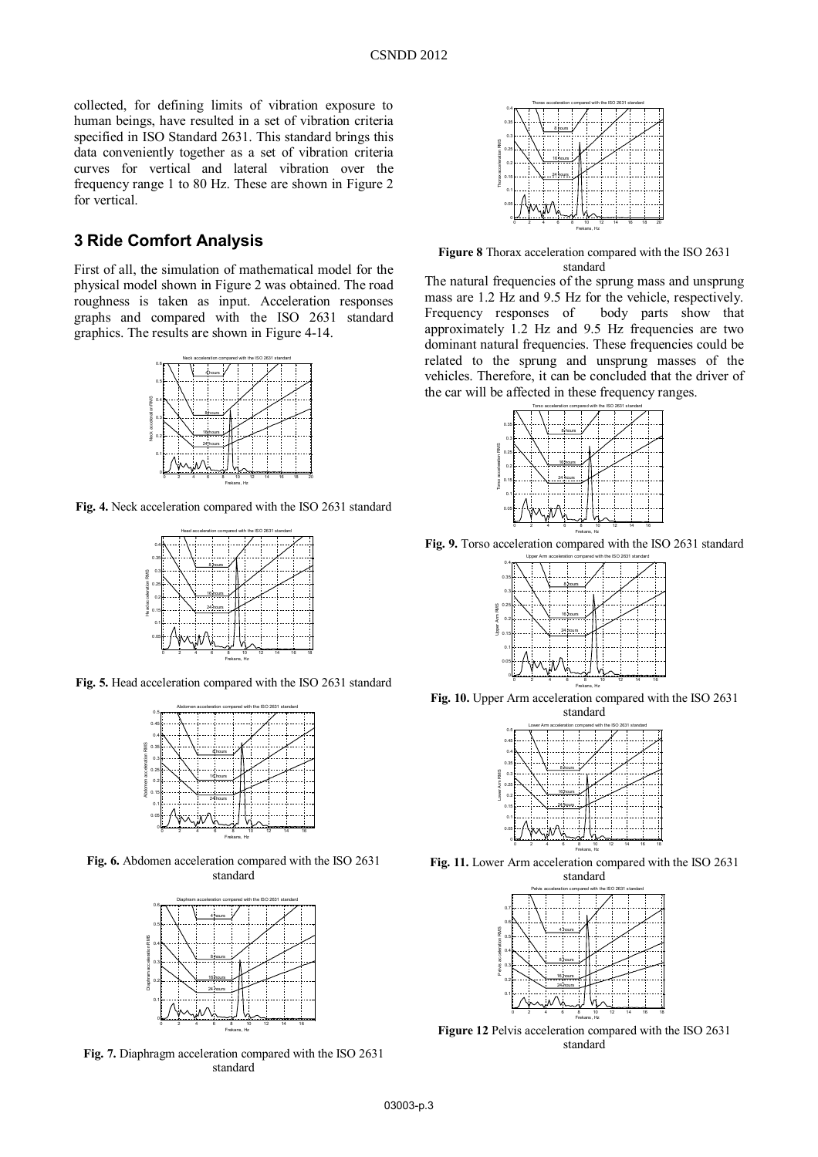collected, for defining limits of vibration exposure to human beings, have resulted in a set of vibration criteria specified in ISO Standard 2631. This standard brings this data conveniently together as a set of vibration criteria curves for vertical and lateral vibration over the frequency range 1 to 80 Hz. These are shown in Figure 2 for vertical.

## **3 Ride Comfort Analysis**

First of all, the simulation of mathematical model for the physical model shown in Figure 2 was obtained. The road roughness is taken as input. Acceleration responses graphs and compared with the ISO 2631 standard graphics. The results are shown in Figure 4-14.



**Fig. 4.** Neck acceleration compared with the ISO 2631 standard



**Fig. 5.** Head acceleration compared with the ISO 2631 standard



**Fig. 6.** Abdomen acceleration compared with the ISO 2631 standard



**Fig. 7.** Diaphragm acceleration compared with the ISO 2631 standard



**Figure 8** Thorax acceleration compared with the ISO 2631 standard

The natural frequencies of the sprung mass and unsprung mass are 1.2 Hz and 9.5 Hz for the vehicle, respectively. Frequency responses of body parts show that approximately 1.2 Hz and 9.5 Hz frequencies are two dominant natural frequencies. These frequencies could be related to the sprung and unsprung masses of the vehicles. Therefore, it can be concluded that the driver of the car will be affected in these frequency ranges.



**Fig. 9.** Torso acceleration compared with the ISO 2631 standard



**Fig. 10.** Upper Arm acceleration compared with the ISO 2631 standard

|              | 0.5         | Lower Arm acceleration compared with the ISO 2631 standard |   |                      |    |    |    |    |    |
|--------------|-------------|------------------------------------------------------------|---|----------------------|----|----|----|----|----|
|              | 0.45        |                                                            |   |                      |    |    |    |    |    |
|              | 0.4         |                                                            |   |                      |    |    |    |    |    |
|              | 0.35        |                                                            |   | 8 <sup>1</sup> hours |    |    |    |    |    |
|              | 0.3         |                                                            |   |                      |    |    |    |    |    |
| Ę            | 0.25        |                                                            |   | 16-hours             |    |    |    |    |    |
| <b>Takio</b> | 0.2         |                                                            |   | 24 bours.            |    |    |    |    |    |
|              | 0.15<br>0.1 |                                                            |   |                      |    |    |    |    |    |
|              | 0.05        |                                                            |   |                      |    |    |    |    |    |
|              |             | 2                                                          | 6 | 8                    | 10 | 12 | 14 | 16 | 18 |

**Fig. 11.** Lower Arm acceleration compared with the ISO 2631 standard Frekans, Hz



**Figure 12** Pelvis acceleration compared with the ISO 2631 standard